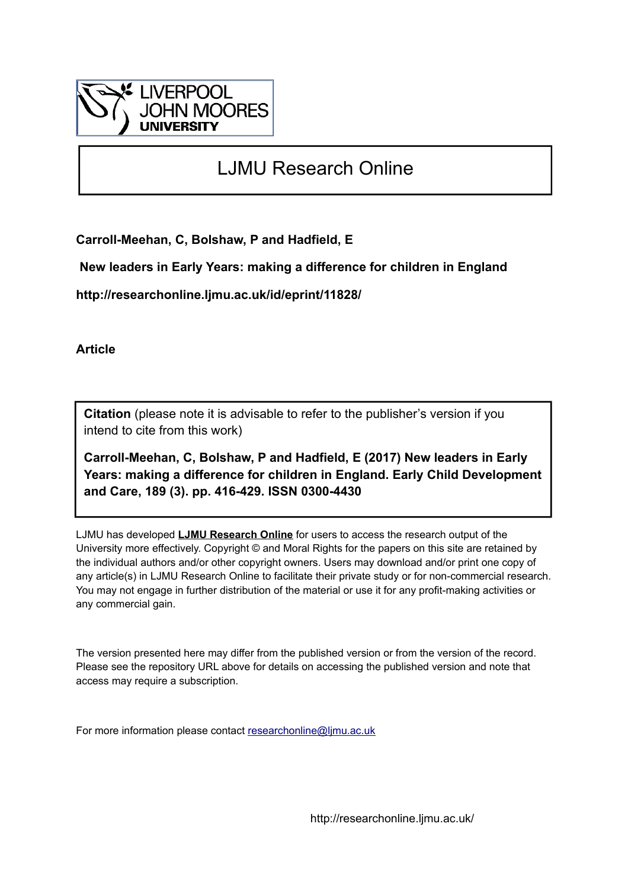

# LJMU Research Online

**Carroll-Meehan, C, Bolshaw, P and Hadfield, E**

 **New leaders in Early Years: making a difference for children in England**

**http://researchonline.ljmu.ac.uk/id/eprint/11828/**

**Article**

**Citation** (please note it is advisable to refer to the publisher's version if you intend to cite from this work)

**Carroll-Meehan, C, Bolshaw, P and Hadfield, E (2017) New leaders in Early Years: making a difference for children in England. Early Child Development and Care, 189 (3). pp. 416-429. ISSN 0300-4430** 

LJMU has developed **[LJMU Research Online](http://researchonline.ljmu.ac.uk/)** for users to access the research output of the University more effectively. Copyright © and Moral Rights for the papers on this site are retained by the individual authors and/or other copyright owners. Users may download and/or print one copy of any article(s) in LJMU Research Online to facilitate their private study or for non-commercial research. You may not engage in further distribution of the material or use it for any profit-making activities or any commercial gain.

The version presented here may differ from the published version or from the version of the record. Please see the repository URL above for details on accessing the published version and note that access may require a subscription.

For more information please contact [researchonline@ljmu.ac.uk](mailto:researchonline@ljmu.ac.uk)

http://researchonline.ljmu.ac.uk/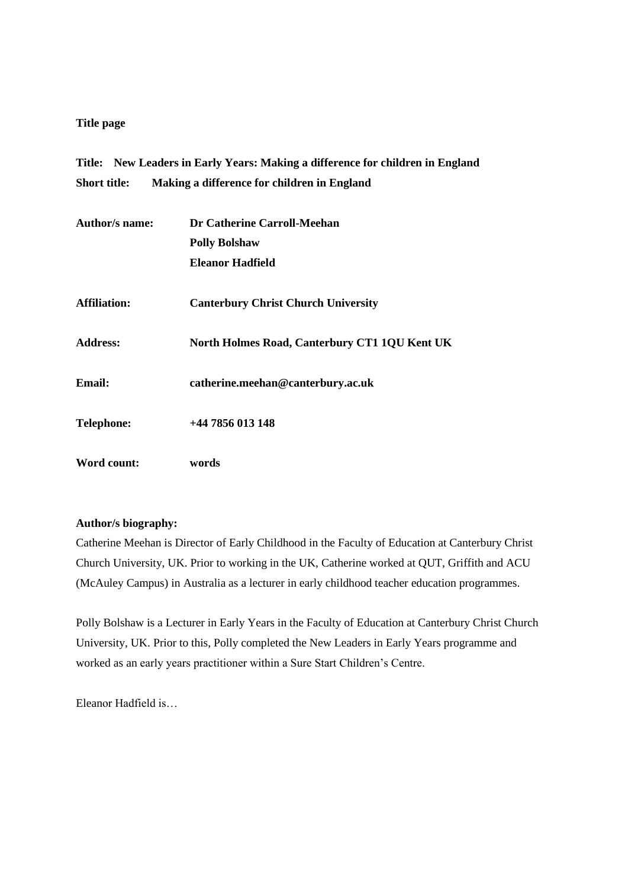# **Title page**

**Title: New Leaders in Early Years: Making a difference for children in England Short title: Making a difference for children in England**

| <b>Author</b> /s name: | Dr Catherine Carroll-Meehan<br><b>Polly Bolshaw</b><br><b>Eleanor Hadfield</b> |  |  |
|------------------------|--------------------------------------------------------------------------------|--|--|
| <b>Affiliation:</b>    | <b>Canterbury Christ Church University</b>                                     |  |  |
| <b>Address:</b>        | North Holmes Road, Canterbury CT1 1QU Kent UK                                  |  |  |
| <b>Email:</b>          | catherine.meehan@canterbury.ac.uk                                              |  |  |
| <b>Telephone:</b>      | +44 7856 013 148                                                               |  |  |
| Word count:            | words                                                                          |  |  |

# **Author/s biography:**

Catherine Meehan is Director of Early Childhood in the Faculty of Education at Canterbury Christ Church University, UK. Prior to working in the UK, Catherine worked at QUT, Griffith and ACU (McAuley Campus) in Australia as a lecturer in early childhood teacher education programmes.

Polly Bolshaw is a Lecturer in Early Years in the Faculty of Education at Canterbury Christ Church University, UK. Prior to this, Polly completed the New Leaders in Early Years programme and worked as an early years practitioner within a Sure Start Children's Centre.

Eleanor Hadfield is…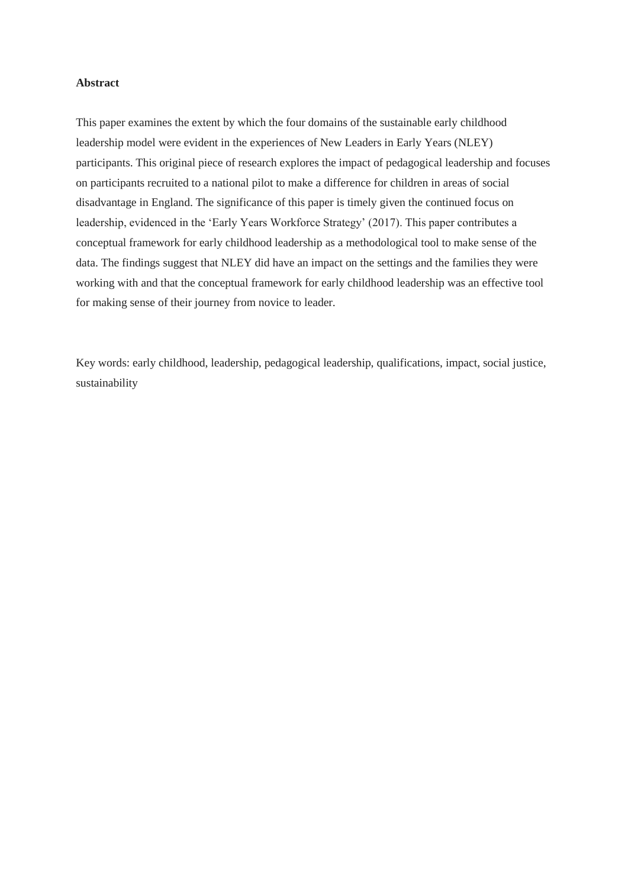#### **Abstract**

This paper examines the extent by which the four domains of the sustainable early childhood leadership model were evident in the experiences of New Leaders in Early Years (NLEY) participants. This original piece of research explores the impact of pedagogical leadership and focuses on participants recruited to a national pilot to make a difference for children in areas of social disadvantage in England. The significance of this paper is timely given the continued focus on leadership, evidenced in the 'Early Years Workforce Strategy' (2017). This paper contributes a conceptual framework for early childhood leadership as a methodological tool to make sense of the data. The findings suggest that NLEY did have an impact on the settings and the families they were working with and that the conceptual framework for early childhood leadership was an effective tool for making sense of their journey from novice to leader.

Key words: early childhood, leadership, pedagogical leadership, qualifications, impact, social justice, sustainability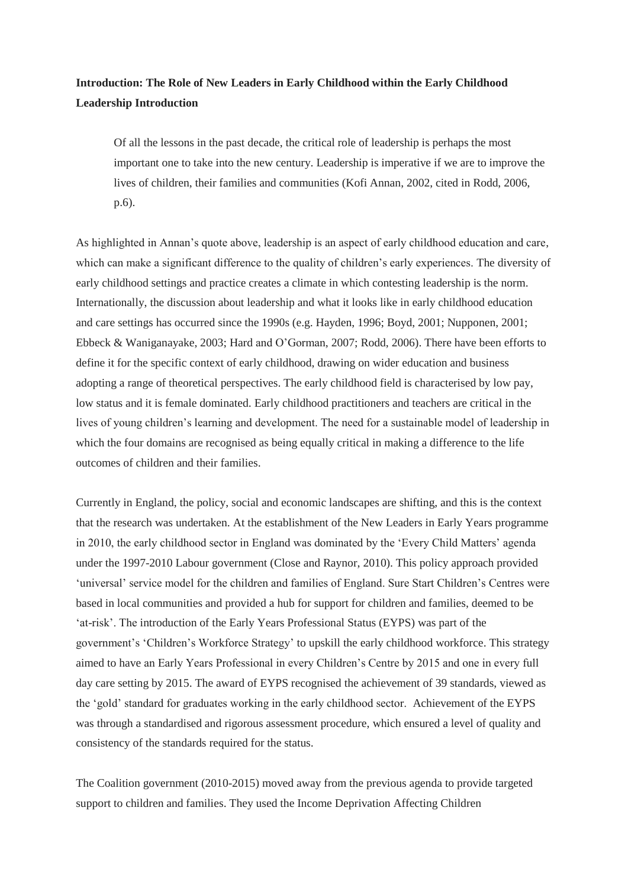# **Introduction: The Role of New Leaders in Early Childhood within the Early Childhood Leadership Introduction**

Of all the lessons in the past decade, the critical role of leadership is perhaps the most important one to take into the new century. Leadership is imperative if we are to improve the lives of children, their families and communities (Kofi Annan, 2002, cited in Rodd, 2006, p.6).

As highlighted in Annan's quote above, leadership is an aspect of early childhood education and care, which can make a significant difference to the quality of children's early experiences. The diversity of early childhood settings and practice creates a climate in which contesting leadership is the norm. Internationally, the discussion about leadership and what it looks like in early childhood education and care settings has occurred since the 1990s (e.g. Hayden, 1996; Boyd, 2001; Nupponen, 2001; Ebbeck & Waniganayake, 2003; Hard and O'Gorman, 2007; Rodd, 2006). There have been efforts to define it for the specific context of early childhood, drawing on wider education and business adopting a range of theoretical perspectives. The early childhood field is characterised by low pay, low status and it is female dominated. Early childhood practitioners and teachers are critical in the lives of young children's learning and development. The need for a sustainable model of leadership in which the four domains are recognised as being equally critical in making a difference to the life outcomes of children and their families.

Currently in England, the policy, social and economic landscapes are shifting, and this is the context that the research was undertaken. At the establishment of the New Leaders in Early Years programme in 2010, the early childhood sector in England was dominated by the 'Every Child Matters' agenda under the 1997-2010 Labour government (Close and Raynor, 2010). This policy approach provided 'universal' service model for the children and families of England. Sure Start Children's Centres were based in local communities and provided a hub for support for children and families, deemed to be 'at-risk'. The introduction of the Early Years Professional Status (EYPS) was part of the government's 'Children's Workforce Strategy' to upskill the early childhood workforce. This strategy aimed to have an Early Years Professional in every Children's Centre by 2015 and one in every full day care setting by 2015. The award of EYPS recognised the achievement of 39 standards, viewed as the 'gold' standard for graduates working in the early childhood sector. Achievement of the EYPS was through a standardised and rigorous assessment procedure, which ensured a level of quality and consistency of the standards required for the status.

The Coalition government (2010-2015) moved away from the previous agenda to provide targeted support to children and families. They used the Income Deprivation Affecting Children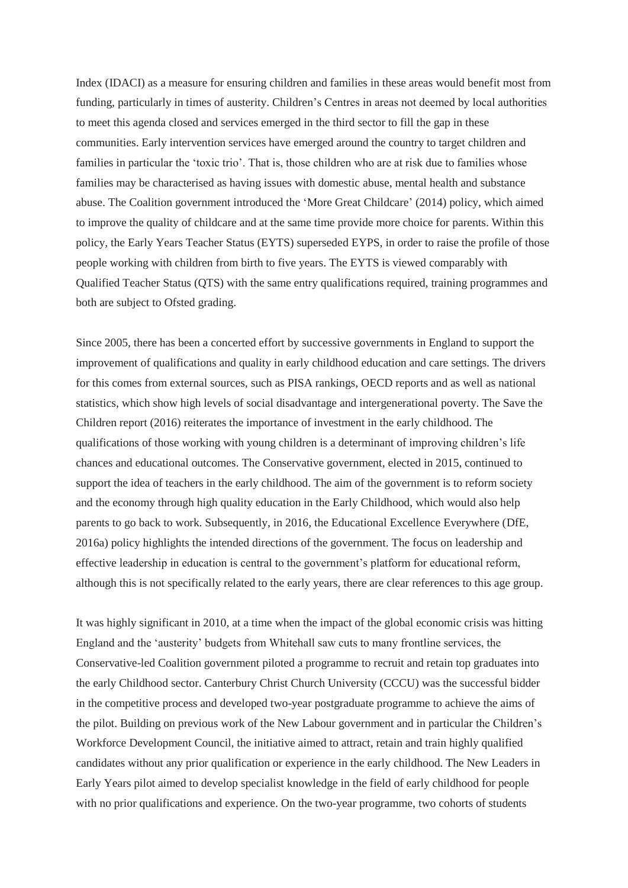Index (IDACI) as a measure for ensuring children and families in these areas would benefit most from funding, particularly in times of austerity. Children's Centres in areas not deemed by local authorities to meet this agenda closed and services emerged in the third sector to fill the gap in these communities. Early intervention services have emerged around the country to target children and families in particular the 'toxic trio'. That is, those children who are at risk due to families whose families may be characterised as having issues with domestic abuse, mental health and substance abuse. The Coalition government introduced the 'More Great Childcare' (2014) policy, which aimed to improve the quality of childcare and at the same time provide more choice for parents. Within this policy, the Early Years Teacher Status (EYTS) superseded EYPS, in order to raise the profile of those people working with children from birth to five years. The EYTS is viewed comparably with Qualified Teacher Status (QTS) with the same entry qualifications required, training programmes and both are subject to Ofsted grading.

Since 2005, there has been a concerted effort by successive governments in England to support the improvement of qualifications and quality in early childhood education and care settings. The drivers for this comes from external sources, such as PISA rankings, OECD reports and as well as national statistics, which show high levels of social disadvantage and intergenerational poverty. The Save the Children report (2016) reiterates the importance of investment in the early childhood. The qualifications of those working with young children is a determinant of improving children's life chances and educational outcomes. The Conservative government, elected in 2015, continued to support the idea of teachers in the early childhood. The aim of the government is to reform society and the economy through high quality education in the Early Childhood, which would also help parents to go back to work. Subsequently, in 2016, the Educational Excellence Everywhere (DfE, 2016a) policy highlights the intended directions of the government. The focus on leadership and effective leadership in education is central to the government's platform for educational reform, although this is not specifically related to the early years, there are clear references to this age group.

It was highly significant in 2010, at a time when the impact of the global economic crisis was hitting England and the 'austerity' budgets from Whitehall saw cuts to many frontline services, the Conservative-led Coalition government piloted a programme to recruit and retain top graduates into the early Childhood sector. Canterbury Christ Church University (CCCU) was the successful bidder in the competitive process and developed two-year postgraduate programme to achieve the aims of the pilot. Building on previous work of the New Labour government and in particular the Children's Workforce Development Council, the initiative aimed to attract, retain and train highly qualified candidates without any prior qualification or experience in the early childhood. The New Leaders in Early Years pilot aimed to develop specialist knowledge in the field of early childhood for people with no prior qualifications and experience. On the two-year programme, two cohorts of students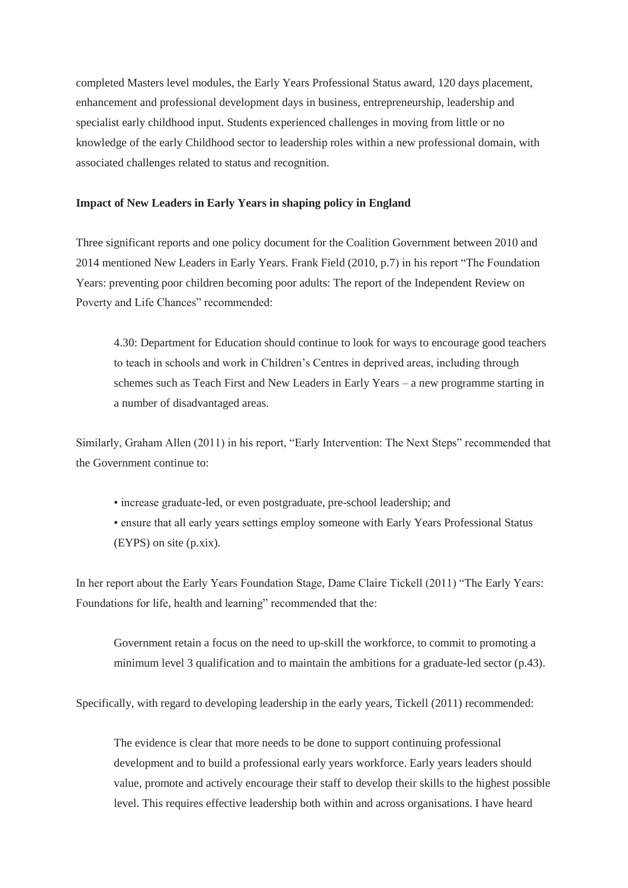completed Masters level modules, the Early Years Professional Status award, 120 days placement, enhancement and professional development days in business, entrepreneurship, leadership and specialist early childhood input. Students experienced challenges in moving from little or no knowledge of the early Childhood sector to leadership roles within a new professional domain, with associated challenges related to status and recognition.

# **Impact of New Leaders in Early Years in shaping policy in England**

Three significant reports and one policy document for the Coalition Government between 2010 and 2014 mentioned New Leaders in Early Years. Frank Field (2010, p.7) in his report "The Foundation Years: preventing poor children becoming poor adults: The report of the Independent Review on Poverty and Life Chances" recommended:

4.30: Department for Education should continue to look for ways to encourage good teachers to teach in schools and work in Children's Centres in deprived areas, including through schemes such as Teach First and New Leaders in Early Years – a new programme starting in a number of disadvantaged areas.

Similarly, Graham Allen (2011) in his report, "Early Intervention: The Next Steps" recommended that the Government continue to:

• increase graduate-led, or even postgraduate, pre-school leadership; and • ensure that all early years settings employ someone with Early Years Professional Status (EYPS) on site (p.xix).

In her report about the Early Years Foundation Stage, Dame Claire Tickell (2011) "The Early Years: Foundations for life, health and learning" recommended that the:

Government retain a focus on the need to up-skill the workforce, to commit to promoting a minimum level 3 qualification and to maintain the ambitions for a graduate-led sector (p.43).

Specifically, with regard to developing leadership in the early years, Tickell (2011) recommended:

The evidence is clear that more needs to be done to support continuing professional development and to build a professional early years workforce. Early years leaders should value, promote and actively encourage their staff to develop their skills to the highest possible level. This requires effective leadership both within and across organisations. I have heard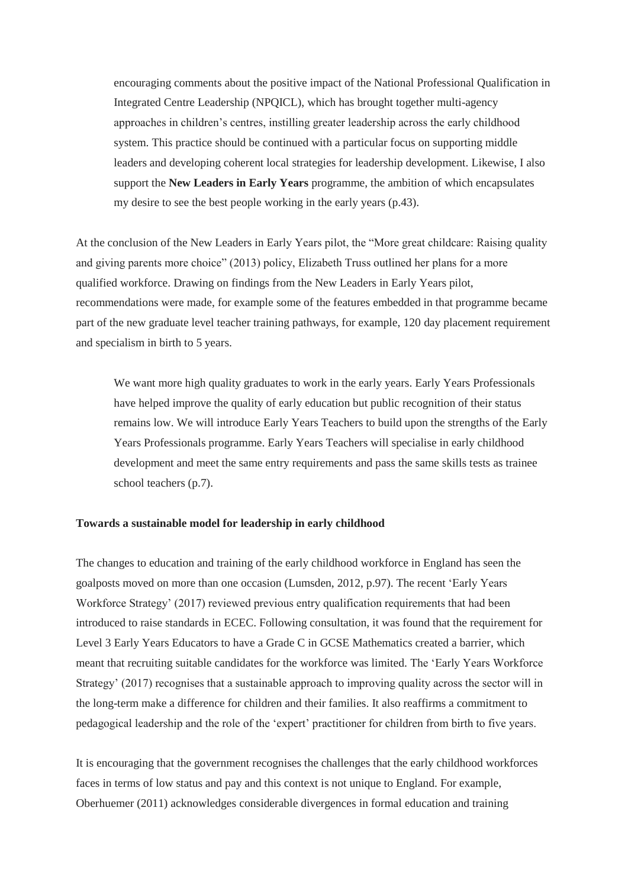encouraging comments about the positive impact of the National Professional Qualification in Integrated Centre Leadership (NPQICL), which has brought together multi-agency approaches in children's centres, instilling greater leadership across the early childhood system. This practice should be continued with a particular focus on supporting middle leaders and developing coherent local strategies for leadership development. Likewise, I also support the **New Leaders in Early Years** programme, the ambition of which encapsulates my desire to see the best people working in the early years (p.43).

At the conclusion of the New Leaders in Early Years pilot, the "More great childcare: Raising quality and giving parents more choice" (2013) policy, Elizabeth Truss outlined her plans for a more qualified workforce. Drawing on findings from the New Leaders in Early Years pilot, recommendations were made, for example some of the features embedded in that programme became part of the new graduate level teacher training pathways, for example, 120 day placement requirement and specialism in birth to 5 years.

We want more high quality graduates to work in the early years. Early Years Professionals have helped improve the quality of early education but public recognition of their status remains low. We will introduce Early Years Teachers to build upon the strengths of the Early Years Professionals programme. Early Years Teachers will specialise in early childhood development and meet the same entry requirements and pass the same skills tests as trainee school teachers (p.7).

#### **Towards a sustainable model for leadership in early childhood**

The changes to education and training of the early childhood workforce in England has seen the goalposts moved on more than one occasion (Lumsden, 2012, p.97). The recent 'Early Years Workforce Strategy' (2017) reviewed previous entry qualification requirements that had been introduced to raise standards in ECEC. Following consultation, it was found that the requirement for Level 3 Early Years Educators to have a Grade C in GCSE Mathematics created a barrier, which meant that recruiting suitable candidates for the workforce was limited. The 'Early Years Workforce Strategy' (2017) recognises that a sustainable approach to improving quality across the sector will in the long-term make a difference for children and their families. It also reaffirms a commitment to pedagogical leadership and the role of the 'expert' practitioner for children from birth to five years.

It is encouraging that the government recognises the challenges that the early childhood workforces faces in terms of low status and pay and this context is not unique to England. For example, Oberhuemer (2011) acknowledges considerable divergences in formal education and training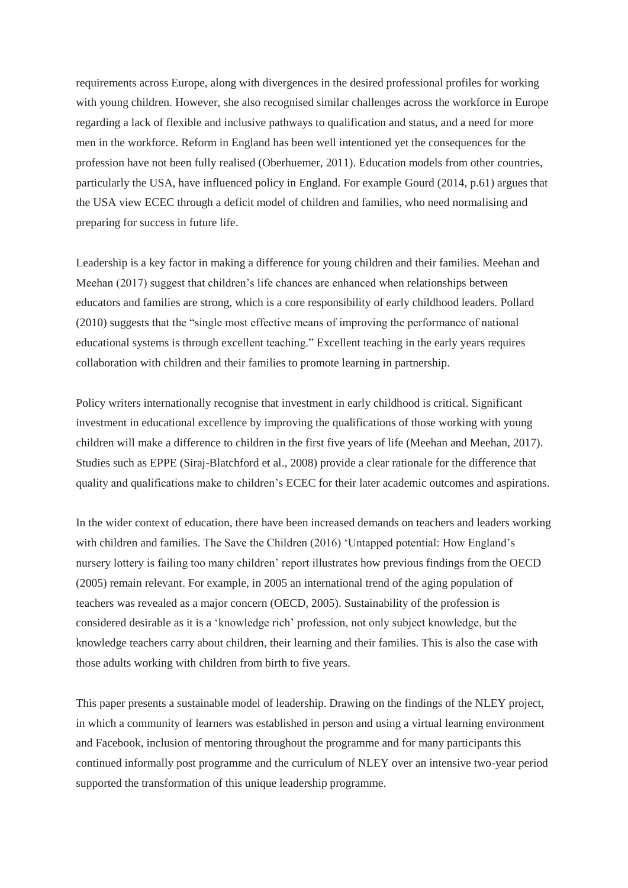requirements across Europe, along with divergences in the desired professional profiles for working with young children. However, she also recognised similar challenges across the workforce in Europe regarding a lack of flexible and inclusive pathways to qualification and status, and a need for more men in the workforce. Reform in England has been well intentioned yet the consequences for the profession have not been fully realised (Oberhuemer, 2011). Education models from other countries, particularly the USA, have influenced policy in England. For example Gourd (2014, p.61) argues that the USA view ECEC through a deficit model of children and families, who need normalising and preparing for success in future life.

Leadership is a key factor in making a difference for young children and their families. Meehan and Meehan (2017) suggest that children's life chances are enhanced when relationships between educators and families are strong, which is a core responsibility of early childhood leaders. Pollard (2010) suggests that the "single most effective means of improving the performance of national educational systems is through excellent teaching." Excellent teaching in the early years requires collaboration with children and their families to promote learning in partnership.

Policy writers internationally recognise that investment in early childhood is critical. Significant investment in educational excellence by improving the qualifications of those working with young children will make a difference to children in the first five years of life (Meehan and Meehan, 2017). Studies such as EPPE (Siraj-Blatchford et al., 2008) provide a clear rationale for the difference that quality and qualifications make to children's ECEC for their later academic outcomes and aspirations.

In the wider context of education, there have been increased demands on teachers and leaders working with children and families. The Save the Children (2016) 'Untapped potential: How England's nursery lottery is failing too many children' report illustrates how previous findings from the OECD (2005) remain relevant. For example, in 2005 an international trend of the aging population of teachers was revealed as a major concern (OECD, 2005). Sustainability of the profession is considered desirable as it is a 'knowledge rich' profession, not only subject knowledge, but the knowledge teachers carry about children, their learning and their families. This is also the case with those adults working with children from birth to five years.

This paper presents a sustainable model of leadership. Drawing on the findings of the NLEY project, in which a community of learners was established in person and using a virtual learning environment and Facebook, inclusion of mentoring throughout the programme and for many participants this continued informally post programme and the curriculum of NLEY over an intensive two-year period supported the transformation of this unique leadership programme.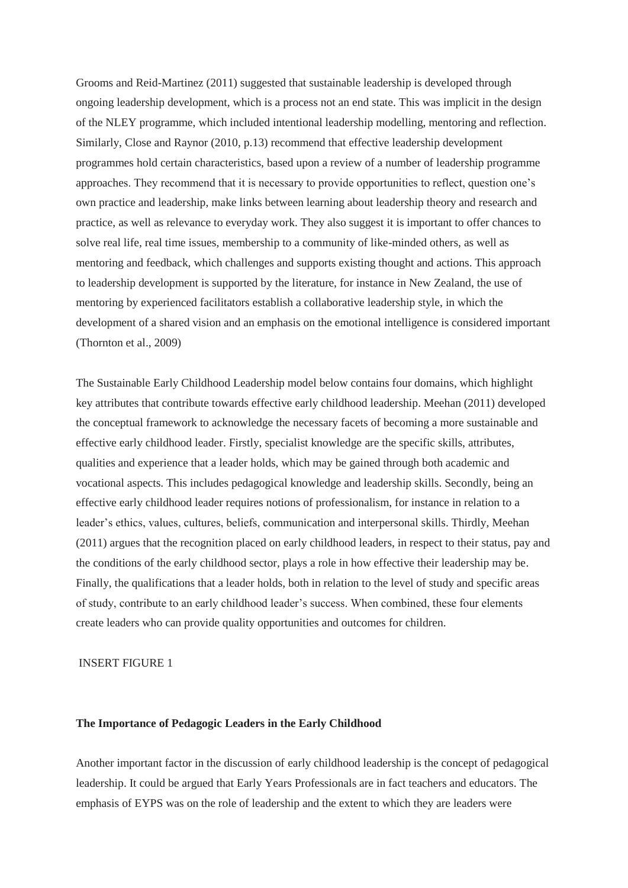Grooms and Reid-Martinez (2011) suggested that sustainable leadership is developed through ongoing leadership development, which is a process not an end state. This was implicit in the design of the NLEY programme, which included intentional leadership modelling, mentoring and reflection. Similarly, Close and Raynor (2010, p.13) recommend that effective leadership development programmes hold certain characteristics, based upon a review of a number of leadership programme approaches. They recommend that it is necessary to provide opportunities to reflect, question one's own practice and leadership, make links between learning about leadership theory and research and practice, as well as relevance to everyday work. They also suggest it is important to offer chances to solve real life, real time issues, membership to a community of like-minded others, as well as mentoring and feedback, which challenges and supports existing thought and actions. This approach to leadership development is supported by the literature, for instance in New Zealand, the use of mentoring by experienced facilitators establish a collaborative leadership style, in which the development of a shared vision and an emphasis on the emotional intelligence is considered important (Thornton et al., 2009)

The Sustainable Early Childhood Leadership model below contains four domains, which highlight key attributes that contribute towards effective early childhood leadership. Meehan (2011) developed the conceptual framework to acknowledge the necessary facets of becoming a more sustainable and effective early childhood leader. Firstly, specialist knowledge are the specific skills, attributes, qualities and experience that a leader holds, which may be gained through both academic and vocational aspects. This includes pedagogical knowledge and leadership skills. Secondly, being an effective early childhood leader requires notions of professionalism, for instance in relation to a leader's ethics, values, cultures, beliefs, communication and interpersonal skills. Thirdly, Meehan (2011) argues that the recognition placed on early childhood leaders, in respect to their status, pay and the conditions of the early childhood sector, plays a role in how effective their leadership may be. Finally, the qualifications that a leader holds, both in relation to the level of study and specific areas of study, contribute to an early childhood leader's success. When combined, these four elements create leaders who can provide quality opportunities and outcomes for children.

# INSERT FIGURE 1

### **The Importance of Pedagogic Leaders in the Early Childhood**

Another important factor in the discussion of early childhood leadership is the concept of pedagogical leadership. It could be argued that Early Years Professionals are in fact teachers and educators. The emphasis of EYPS was on the role of leadership and the extent to which they are leaders were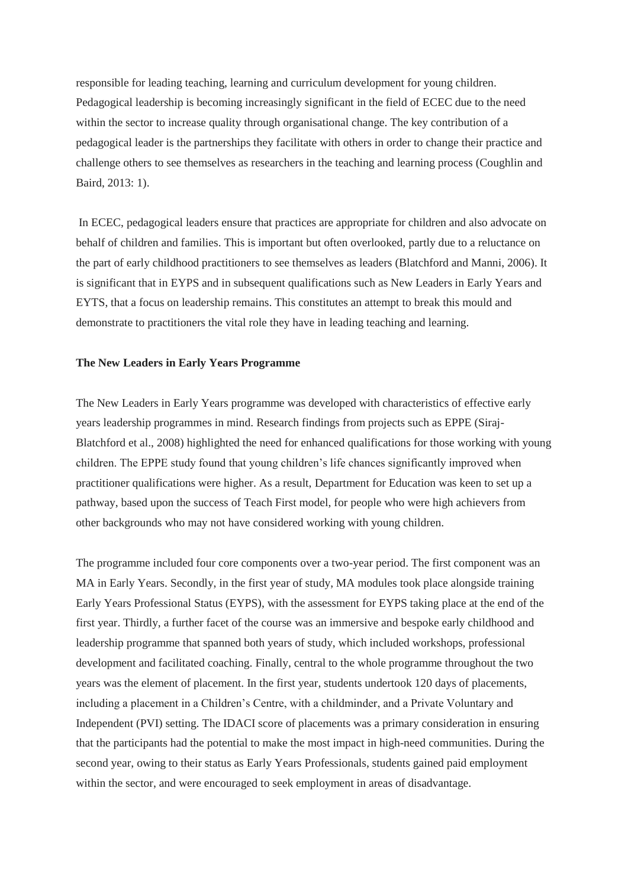responsible for leading teaching, learning and curriculum development for young children. Pedagogical leadership is becoming increasingly significant in the field of ECEC due to the need within the sector to increase quality through organisational change. The key contribution of a pedagogical leader is the partnerships they facilitate with others in order to change their practice and challenge others to see themselves as researchers in the teaching and learning process (Coughlin and Baird, 2013: 1).

In ECEC, pedagogical leaders ensure that practices are appropriate for children and also advocate on behalf of children and families. This is important but often overlooked, partly due to a reluctance on the part of early childhood practitioners to see themselves as leaders (Blatchford and Manni, 2006). It is significant that in EYPS and in subsequent qualifications such as New Leaders in Early Years and EYTS, that a focus on leadership remains. This constitutes an attempt to break this mould and demonstrate to practitioners the vital role they have in leading teaching and learning.

#### **The New Leaders in Early Years Programme**

The New Leaders in Early Years programme was developed with characteristics of effective early years leadership programmes in mind. Research findings from projects such as EPPE (Siraj-Blatchford et al., 2008) highlighted the need for enhanced qualifications for those working with young children. The EPPE study found that young children's life chances significantly improved when practitioner qualifications were higher. As a result, Department for Education was keen to set up a pathway, based upon the success of Teach First model, for people who were high achievers from other backgrounds who may not have considered working with young children.

The programme included four core components over a two-year period. The first component was an MA in Early Years. Secondly, in the first year of study, MA modules took place alongside training Early Years Professional Status (EYPS), with the assessment for EYPS taking place at the end of the first year. Thirdly, a further facet of the course was an immersive and bespoke early childhood and leadership programme that spanned both years of study, which included workshops, professional development and facilitated coaching. Finally, central to the whole programme throughout the two years was the element of placement. In the first year, students undertook 120 days of placements, including a placement in a Children's Centre, with a childminder, and a Private Voluntary and Independent (PVI) setting. The IDACI score of placements was a primary consideration in ensuring that the participants had the potential to make the most impact in high-need communities. During the second year, owing to their status as Early Years Professionals, students gained paid employment within the sector, and were encouraged to seek employment in areas of disadvantage.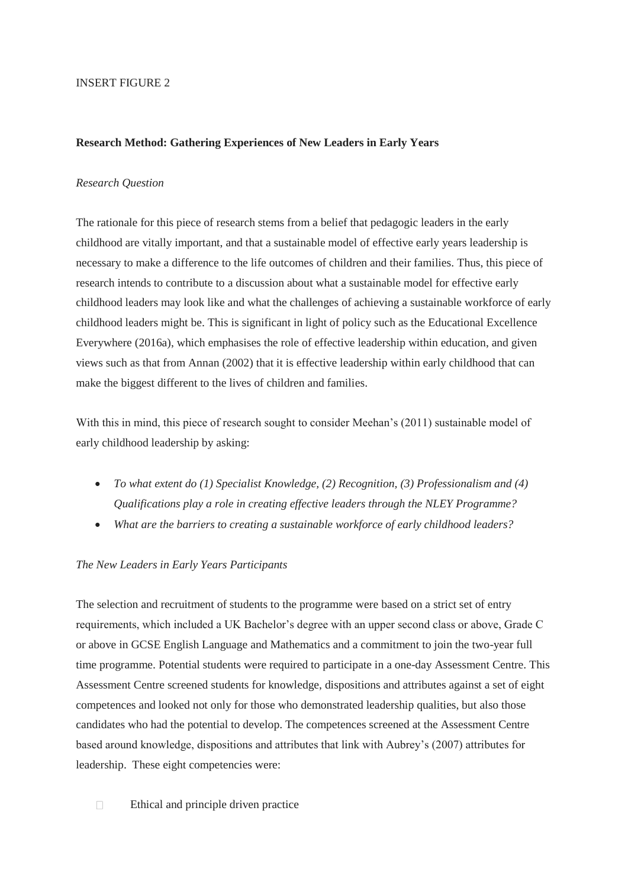# INSERT FIGURE 2

# **Research Method: Gathering Experiences of New Leaders in Early Years**

### *Research Question*

The rationale for this piece of research stems from a belief that pedagogic leaders in the early childhood are vitally important, and that a sustainable model of effective early years leadership is necessary to make a difference to the life outcomes of children and their families. Thus, this piece of research intends to contribute to a discussion about what a sustainable model for effective early childhood leaders may look like and what the challenges of achieving a sustainable workforce of early childhood leaders might be. This is significant in light of policy such as the Educational Excellence Everywhere (2016a), which emphasises the role of effective leadership within education, and given views such as that from Annan (2002) that it is effective leadership within early childhood that can make the biggest different to the lives of children and families.

With this in mind, this piece of research sought to consider Meehan's (2011) sustainable model of early childhood leadership by asking:

- *To what extent do (1) Specialist Knowledge, (2) Recognition, (3) Professionalism and (4) Qualifications play a role in creating effective leaders through the NLEY Programme?*
- *What are the barriers to creating a sustainable workforce of early childhood leaders?*

# *The New Leaders in Early Years Participants*

The selection and recruitment of students to the programme were based on a strict set of entry requirements, which included a UK Bachelor's degree with an upper second class or above, Grade C or above in GCSE English Language and Mathematics and a commitment to join the two-year full time programme. Potential students were required to participate in a one-day Assessment Centre. This Assessment Centre screened students for knowledge, dispositions and attributes against a set of eight competences and looked not only for those who demonstrated leadership qualities, but also those candidates who had the potential to develop. The competences screened at the Assessment Centre based around knowledge, dispositions and attributes that link with Aubrey's (2007) attributes for leadership. These eight competencies were:

Ethical and principle driven practice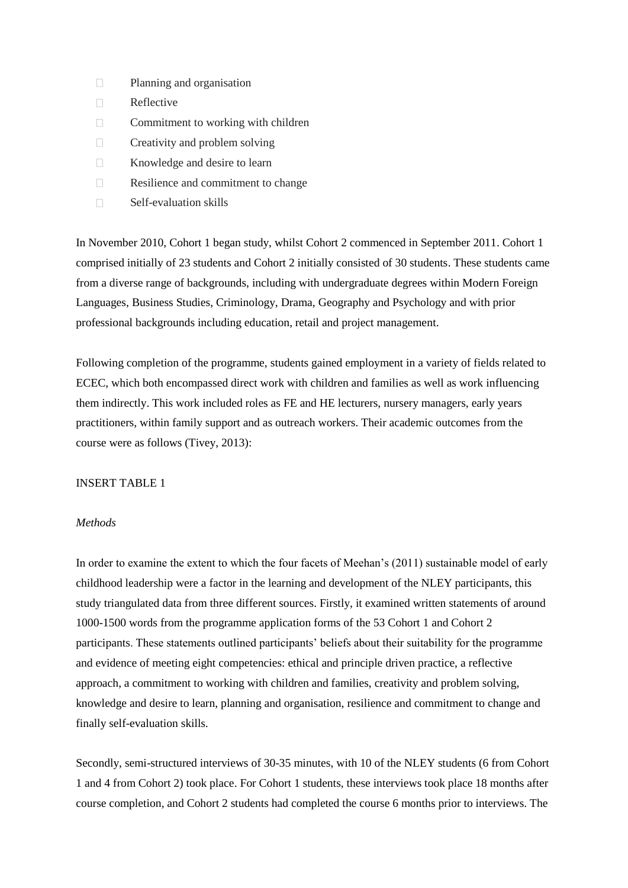- **Planning and organisation**
- $\Box$  Reflective
- $\Box$  Commitment to working with children
- $\Box$  Creativity and problem solving
- **Knowledge and desire to learn**
- Resilience and commitment to change
- Self-evaluation skills

In November 2010, Cohort 1 began study, whilst Cohort 2 commenced in September 2011. Cohort 1 comprised initially of 23 students and Cohort 2 initially consisted of 30 students. These students came from a diverse range of backgrounds, including with undergraduate degrees within Modern Foreign Languages, Business Studies, Criminology, Drama, Geography and Psychology and with prior professional backgrounds including education, retail and project management.

Following completion of the programme, students gained employment in a variety of fields related to ECEC, which both encompassed direct work with children and families as well as work influencing them indirectly. This work included roles as FE and HE lecturers, nursery managers, early years practitioners, within family support and as outreach workers. Their academic outcomes from the course were as follows (Tivey, 2013):

# INSERT TABLE 1

# *Methods*

In order to examine the extent to which the four facets of Meehan's (2011) sustainable model of early childhood leadership were a factor in the learning and development of the NLEY participants, this study triangulated data from three different sources. Firstly, it examined written statements of around 1000-1500 words from the programme application forms of the 53 Cohort 1 and Cohort 2 participants. These statements outlined participants' beliefs about their suitability for the programme and evidence of meeting eight competencies: ethical and principle driven practice, a reflective approach, a commitment to working with children and families, creativity and problem solving, knowledge and desire to learn, planning and organisation, resilience and commitment to change and finally self-evaluation skills.

Secondly, semi-structured interviews of 30-35 minutes, with 10 of the NLEY students (6 from Cohort 1 and 4 from Cohort 2) took place. For Cohort 1 students, these interviews took place 18 months after course completion, and Cohort 2 students had completed the course 6 months prior to interviews. The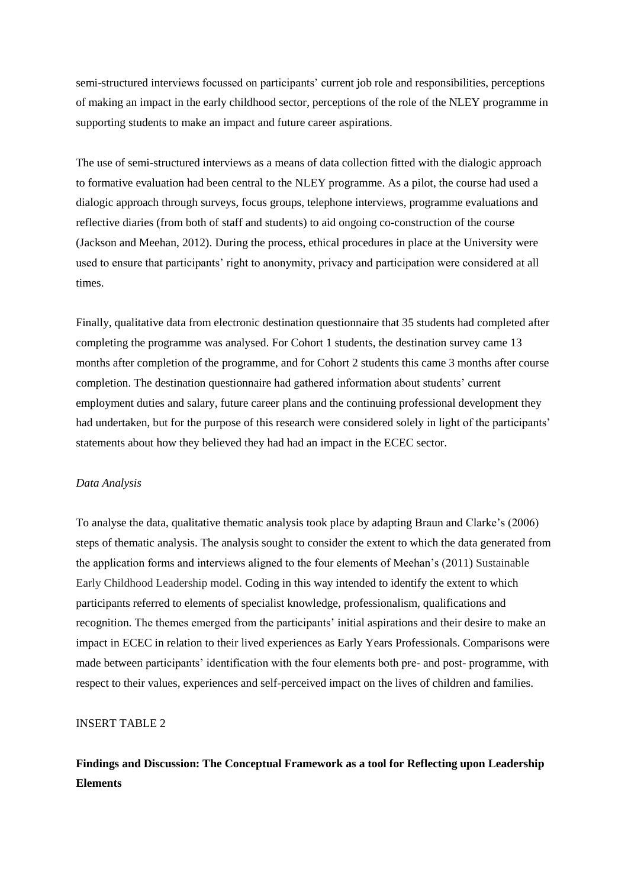semi-structured interviews focussed on participants' current job role and responsibilities, perceptions of making an impact in the early childhood sector, perceptions of the role of the NLEY programme in supporting students to make an impact and future career aspirations.

The use of semi-structured interviews as a means of data collection fitted with the dialogic approach to formative evaluation had been central to the NLEY programme. As a pilot, the course had used a dialogic approach through surveys, focus groups, telephone interviews, programme evaluations and reflective diaries (from both of staff and students) to aid ongoing co-construction of the course (Jackson and Meehan, 2012). During the process, ethical procedures in place at the University were used to ensure that participants' right to anonymity, privacy and participation were considered at all times.

Finally, qualitative data from electronic destination questionnaire that 35 students had completed after completing the programme was analysed. For Cohort 1 students, the destination survey came 13 months after completion of the programme, and for Cohort 2 students this came 3 months after course completion. The destination questionnaire had gathered information about students' current employment duties and salary, future career plans and the continuing professional development they had undertaken, but for the purpose of this research were considered solely in light of the participants' statements about how they believed they had had an impact in the ECEC sector.

#### *Data Analysis*

To analyse the data, qualitative thematic analysis took place by adapting Braun and Clarke's (2006) steps of thematic analysis. The analysis sought to consider the extent to which the data generated from the application forms and interviews aligned to the four elements of Meehan's (2011) Sustainable Early Childhood Leadership model. Coding in this way intended to identify the extent to which participants referred to elements of specialist knowledge, professionalism, qualifications and recognition. The themes emerged from the participants' initial aspirations and their desire to make an impact in ECEC in relation to their lived experiences as Early Years Professionals. Comparisons were made between participants' identification with the four elements both pre- and post- programme, with respect to their values, experiences and self-perceived impact on the lives of children and families.

# INSERT TABLE 2

**Findings and Discussion: The Conceptual Framework as a tool for Reflecting upon Leadership Elements**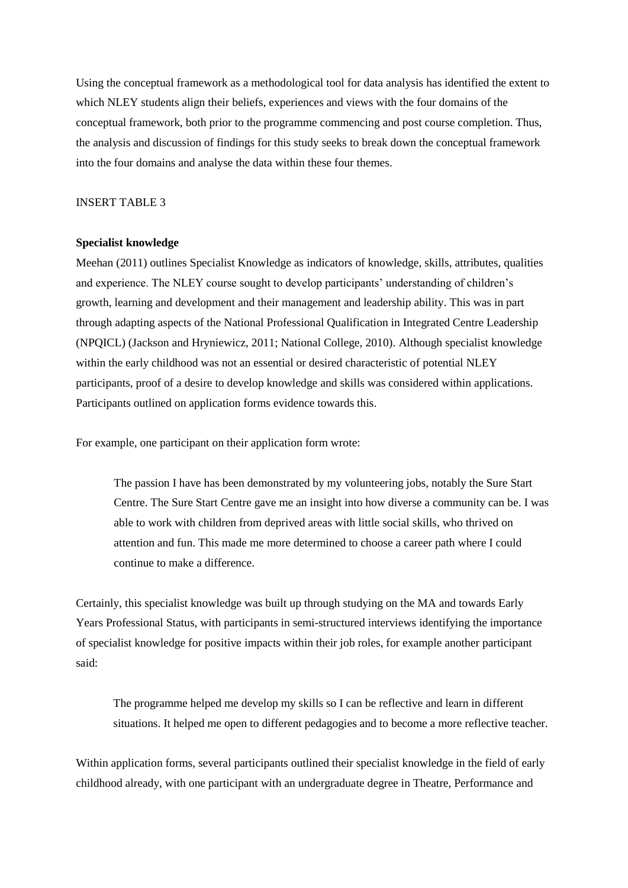Using the conceptual framework as a methodological tool for data analysis has identified the extent to which NLEY students align their beliefs, experiences and views with the four domains of the conceptual framework, both prior to the programme commencing and post course completion. Thus, the analysis and discussion of findings for this study seeks to break down the conceptual framework into the four domains and analyse the data within these four themes.

# INSERT TABLE 3

#### **Specialist knowledge**

Meehan (2011) outlines Specialist Knowledge as indicators of knowledge, skills, attributes, qualities and experience. The NLEY course sought to develop participants' understanding of children's growth, learning and development and their management and leadership ability. This was in part through adapting aspects of the National Professional Qualification in Integrated Centre Leadership (NPQICL) (Jackson and Hryniewicz, 2011; National College, 2010). Although specialist knowledge within the early childhood was not an essential or desired characteristic of potential NLEY participants, proof of a desire to develop knowledge and skills was considered within applications. Participants outlined on application forms evidence towards this.

For example, one participant on their application form wrote:

The passion I have has been demonstrated by my volunteering jobs, notably the Sure Start Centre. The Sure Start Centre gave me an insight into how diverse a community can be. I was able to work with children from deprived areas with little social skills, who thrived on attention and fun. This made me more determined to choose a career path where I could continue to make a difference.

Certainly, this specialist knowledge was built up through studying on the MA and towards Early Years Professional Status, with participants in semi-structured interviews identifying the importance of specialist knowledge for positive impacts within their job roles, for example another participant said:

The programme helped me develop my skills so I can be reflective and learn in different situations. It helped me open to different pedagogies and to become a more reflective teacher.

Within application forms, several participants outlined their specialist knowledge in the field of early childhood already, with one participant with an undergraduate degree in Theatre, Performance and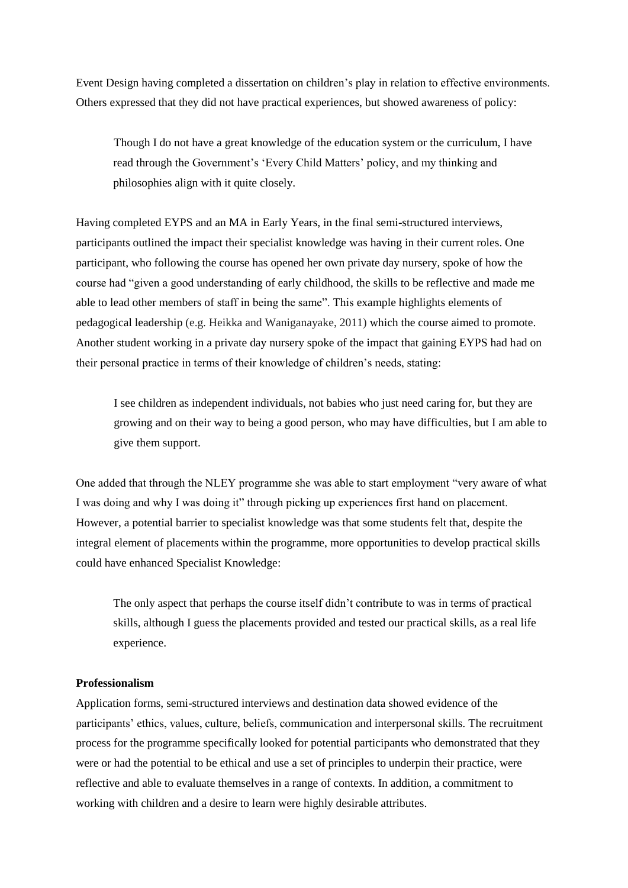Event Design having completed a dissertation on children's play in relation to effective environments. Others expressed that they did not have practical experiences, but showed awareness of policy:

Though I do not have a great knowledge of the education system or the curriculum, I have read through the Government's 'Every Child Matters' policy, and my thinking and philosophies align with it quite closely.

Having completed EYPS and an MA in Early Years, in the final semi-structured interviews, participants outlined the impact their specialist knowledge was having in their current roles. One participant, who following the course has opened her own private day nursery, spoke of how the course had "given a good understanding of early childhood, the skills to be reflective and made me able to lead other members of staff in being the same". This example highlights elements of pedagogical leadership (e.g. Heikka and Waniganayake, 2011) which the course aimed to promote. Another student working in a private day nursery spoke of the impact that gaining EYPS had had on their personal practice in terms of their knowledge of children's needs, stating:

I see children as independent individuals, not babies who just need caring for, but they are growing and on their way to being a good person, who may have difficulties, but I am able to give them support.

One added that through the NLEY programme she was able to start employment "very aware of what I was doing and why I was doing it" through picking up experiences first hand on placement. However, a potential barrier to specialist knowledge was that some students felt that, despite the integral element of placements within the programme, more opportunities to develop practical skills could have enhanced Specialist Knowledge:

The only aspect that perhaps the course itself didn't contribute to was in terms of practical skills, although I guess the placements provided and tested our practical skills, as a real life experience.

#### **Professionalism**

Application forms, semi-structured interviews and destination data showed evidence of the participants' ethics, values, culture, beliefs, communication and interpersonal skills. The recruitment process for the programme specifically looked for potential participants who demonstrated that they were or had the potential to be ethical and use a set of principles to underpin their practice, were reflective and able to evaluate themselves in a range of contexts. In addition, a commitment to working with children and a desire to learn were highly desirable attributes.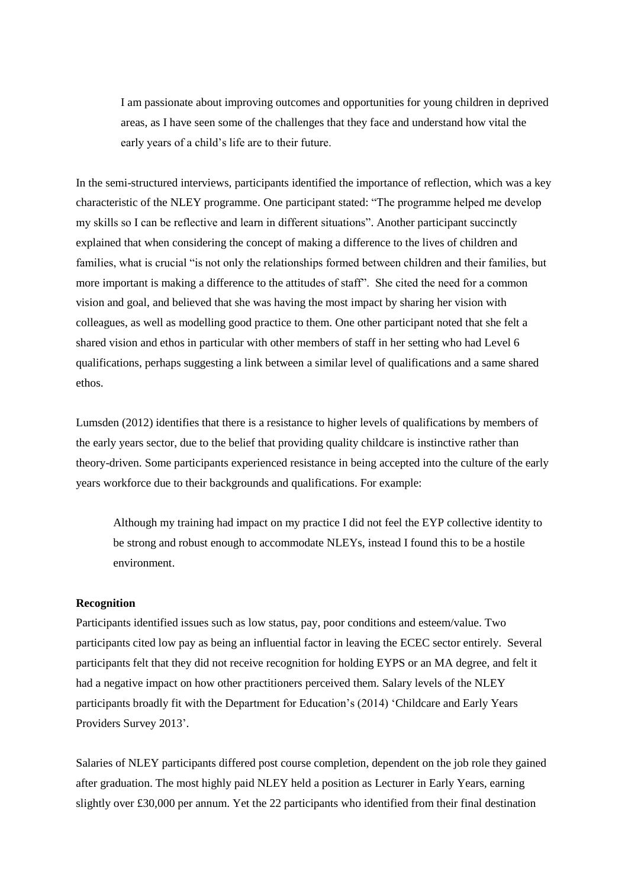I am passionate about improving outcomes and opportunities for young children in deprived areas, as I have seen some of the challenges that they face and understand how vital the early years of a child's life are to their future.

In the semi-structured interviews, participants identified the importance of reflection, which was a key characteristic of the NLEY programme. One participant stated: "The programme helped me develop my skills so I can be reflective and learn in different situations". Another participant succinctly explained that when considering the concept of making a difference to the lives of children and families, what is crucial "is not only the relationships formed between children and their families, but more important is making a difference to the attitudes of staff". She cited the need for a common vision and goal, and believed that she was having the most impact by sharing her vision with colleagues, as well as modelling good practice to them. One other participant noted that she felt a shared vision and ethos in particular with other members of staff in her setting who had Level 6 qualifications, perhaps suggesting a link between a similar level of qualifications and a same shared ethos.

Lumsden (2012) identifies that there is a resistance to higher levels of qualifications by members of the early years sector, due to the belief that providing quality childcare is instinctive rather than theory-driven. Some participants experienced resistance in being accepted into the culture of the early years workforce due to their backgrounds and qualifications. For example:

Although my training had impact on my practice I did not feel the EYP collective identity to be strong and robust enough to accommodate NLEYs, instead I found this to be a hostile environment.

#### **Recognition**

Participants identified issues such as low status, pay, poor conditions and esteem/value. Two participants cited low pay as being an influential factor in leaving the ECEC sector entirely. Several participants felt that they did not receive recognition for holding EYPS or an MA degree, and felt it had a negative impact on how other practitioners perceived them. Salary levels of the NLEY participants broadly fit with the Department for Education's (2014) 'Childcare and Early Years Providers Survey 2013'.

Salaries of NLEY participants differed post course completion, dependent on the job role they gained after graduation. The most highly paid NLEY held a position as Lecturer in Early Years, earning slightly over £30,000 per annum. Yet the 22 participants who identified from their final destination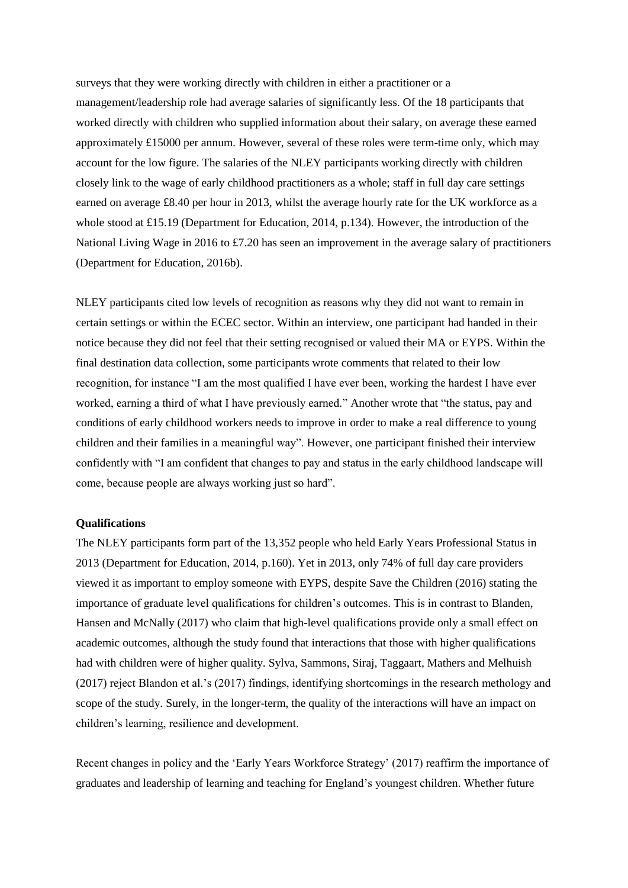surveys that they were working directly with children in either a practitioner or a management/leadership role had average salaries of significantly less. Of the 18 participants that worked directly with children who supplied information about their salary, on average these earned approximately £15000 per annum. However, several of these roles were term-time only, which may account for the low figure. The salaries of the NLEY participants working directly with children closely link to the wage of early childhood practitioners as a whole; staff in full day care settings earned on average £8.40 per hour in 2013, whilst the average hourly rate for the UK workforce as a whole stood at £15.19 (Department for Education, 2014, p.134). However, the introduction of the National Living Wage in 2016 to £7.20 has seen an improvement in the average salary of practitioners (Department for Education, 2016b).

NLEY participants cited low levels of recognition as reasons why they did not want to remain in certain settings or within the ECEC sector. Within an interview, one participant had handed in their notice because they did not feel that their setting recognised or valued their MA or EYPS. Within the final destination data collection, some participants wrote comments that related to their low recognition, for instance "I am the most qualified I have ever been, working the hardest I have ever worked, earning a third of what I have previously earned." Another wrote that "the status, pay and conditions of early childhood workers needs to improve in order to make a real difference to young children and their families in a meaningful way". However, one participant finished their interview confidently with "I am confident that changes to pay and status in the early childhood landscape will come, because people are always working just so hard".

#### **Qualifications**

The NLEY participants form part of the 13,352 people who held Early Years Professional Status in 2013 (Department for Education, 2014, p.160). Yet in 2013, only 74% of full day care providers viewed it as important to employ someone with EYPS, despite Save the Children (2016) stating the importance of graduate level qualifications for children's outcomes. This is in contrast to Blanden, Hansen and McNally (2017) who claim that high-level qualifications provide only a small effect on academic outcomes, although the study found that interactions that those with higher qualifications had with children were of higher quality. Sylva, Sammons, Siraj, Taggaart, Mathers and Melhuish (2017) reject Blandon et al.'s (2017) findings, identifying shortcomings in the research methology and scope of the study. Surely, in the longer-term, the quality of the interactions will have an impact on children's learning, resilience and development.

Recent changes in policy and the 'Early Years Workforce Strategy' (2017) reaffirm the importance of graduates and leadership of learning and teaching for England's youngest children. Whether future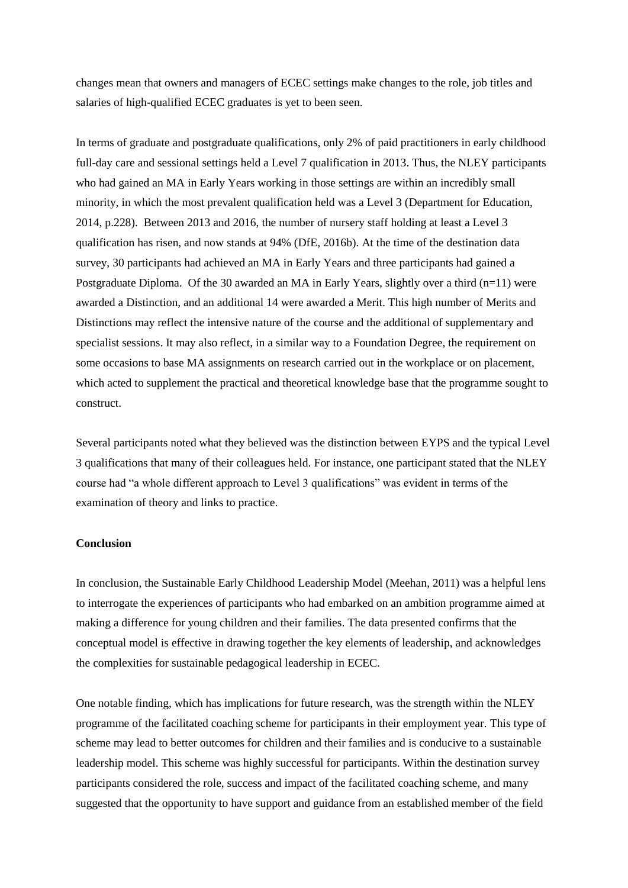changes mean that owners and managers of ECEC settings make changes to the role, job titles and salaries of high-qualified ECEC graduates is yet to been seen.

In terms of graduate and postgraduate qualifications, only 2% of paid practitioners in early childhood full-day care and sessional settings held a Level 7 qualification in 2013. Thus, the NLEY participants who had gained an MA in Early Years working in those settings are within an incredibly small minority, in which the most prevalent qualification held was a Level 3 (Department for Education, 2014, p.228). Between 2013 and 2016, the number of nursery staff holding at least a Level 3 qualification has risen, and now stands at 94% (DfE, 2016b). At the time of the destination data survey, 30 participants had achieved an MA in Early Years and three participants had gained a Postgraduate Diploma. Of the 30 awarded an MA in Early Years, slightly over a third  $(n=11)$  were awarded a Distinction, and an additional 14 were awarded a Merit. This high number of Merits and Distinctions may reflect the intensive nature of the course and the additional of supplementary and specialist sessions. It may also reflect, in a similar way to a Foundation Degree, the requirement on some occasions to base MA assignments on research carried out in the workplace or on placement, which acted to supplement the practical and theoretical knowledge base that the programme sought to construct.

Several participants noted what they believed was the distinction between EYPS and the typical Level 3 qualifications that many of their colleagues held. For instance, one participant stated that the NLEY course had "a whole different approach to Level 3 qualifications" was evident in terms of the examination of theory and links to practice.

#### **Conclusion**

In conclusion, the Sustainable Early Childhood Leadership Model (Meehan, 2011) was a helpful lens to interrogate the experiences of participants who had embarked on an ambition programme aimed at making a difference for young children and their families. The data presented confirms that the conceptual model is effective in drawing together the key elements of leadership, and acknowledges the complexities for sustainable pedagogical leadership in ECEC.

One notable finding, which has implications for future research, was the strength within the NLEY programme of the facilitated coaching scheme for participants in their employment year. This type of scheme may lead to better outcomes for children and their families and is conducive to a sustainable leadership model. This scheme was highly successful for participants. Within the destination survey participants considered the role, success and impact of the facilitated coaching scheme, and many suggested that the opportunity to have support and guidance from an established member of the field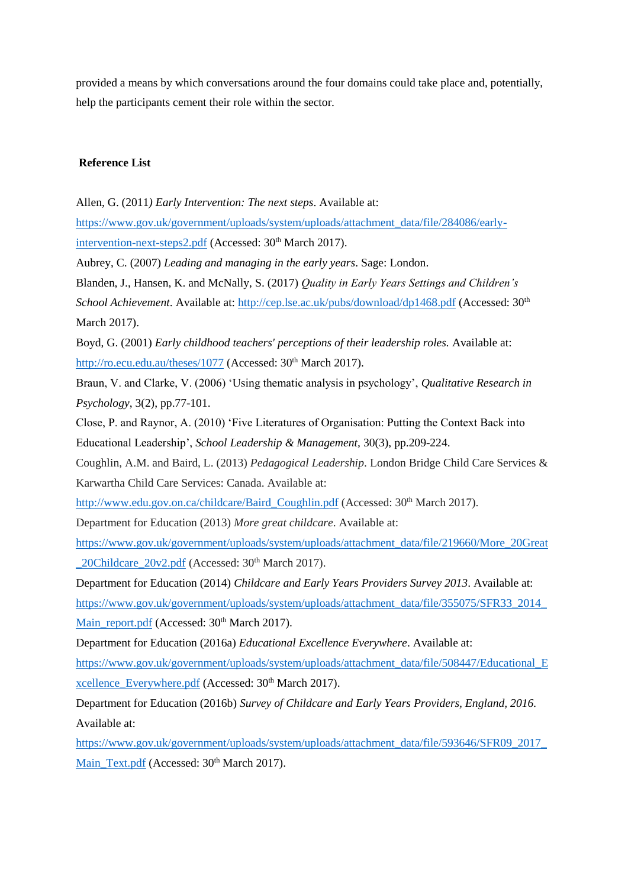provided a means by which conversations around the four domains could take place and, potentially, help the participants cement their role within the sector.

#### **Reference List**

Allen, G. (2011*) Early Intervention: The next steps*. Available at:

[https://www.gov.uk/government/uploads/system/uploads/attachment\\_data/file/284086/early](https://www.gov.uk/government/uploads/system/uploads/attachment_data/file/284086/early-intervention-next-steps2.pdf)[intervention-next-steps2.pdf](https://www.gov.uk/government/uploads/system/uploads/attachment_data/file/284086/early-intervention-next-steps2.pdf) (Accessed: 30<sup>th</sup> March 2017).

Aubrey, C. (2007) *Leading and managing in the early years*. Sage: London.

Blanden, J., Hansen, K. and McNally, S. (2017) *Quality in Early Years Settings and Children's School Achievement*. Available at:<http://cep.lse.ac.uk/pubs/download/dp1468.pdf> (Accessed: 30th March 2017).

Boyd, G. (2001) *Early childhood teachers' perceptions of their leadership roles.* Available at: <http://ro.ecu.edu.au/theses/1077> (Accessed: 30<sup>th</sup> March 2017).

Braun, V. and Clarke, V. (2006) 'Using thematic analysis in psychology', *Qualitative Research in Psychology*, 3(2), pp.77-101.

Close, P. and Raynor, A. (2010) 'Five Literatures of Organisation: Putting the Context Back into Educational Leadership', *School Leadership & Management,* 30(3), pp.209-224.

Coughlin, A.M. and Baird, L. (2013) *Pedagogical Leadership*. London Bridge Child Care Services & Karwartha Child Care Services: Canada. Available at:

[http://www.edu.gov.on.ca/childcare/Baird\\_Coughlin.pdf](http://www.edu.gov.on.ca/childcare/Baird_Coughlin.pdf) (Accessed: 30<sup>th</sup> March 2017).

Department for Education (2013) *More great childcare*. Available at:

[https://www.gov.uk/government/uploads/system/uploads/attachment\\_data/file/219660/More\\_20Great](https://www.gov.uk/government/uploads/system/uploads/attachment_data/file/219660/More_20Great_20Childcare_20v2.pdf)  $20$ Childcare  $20v2$ .pdf (Accessed:  $30<sup>th</sup>$  March 2017).

Department for Education (2014) *Childcare and Early Years Providers Survey 2013*. Available at: [https://www.gov.uk/government/uploads/system/uploads/attachment\\_data/file/355075/SFR33\\_2014\\_](https://www.gov.uk/government/uploads/system/uploads/attachment_data/file/355075/SFR33_2014_Main_report.pdf) [Main\\_report.pdf](https://www.gov.uk/government/uploads/system/uploads/attachment_data/file/355075/SFR33_2014_Main_report.pdf) (Accessed: 30<sup>th</sup> March 2017).

Department for Education (2016a) *Educational Excellence Everywhere*. Available at:

[https://www.gov.uk/government/uploads/system/uploads/attachment\\_data/file/508447/Educational\\_E](https://www.gov.uk/government/uploads/system/uploads/attachment_data/file/508447/Educational_Excellence_Everywhere.pdf) xcellence Everywhere.pdf (Accessed: 30<sup>th</sup> March 2017).

Department for Education (2016b) *Survey of Childcare and Early Years Providers, England, 2016.* Available at:

[https://www.gov.uk/government/uploads/system/uploads/attachment\\_data/file/593646/SFR09\\_2017\\_](https://www.gov.uk/government/uploads/system/uploads/attachment_data/file/593646/SFR09_2017_Main_Text.pdf) [Main\\_Text.pdf](https://www.gov.uk/government/uploads/system/uploads/attachment_data/file/593646/SFR09_2017_Main_Text.pdf) (Accessed: 30<sup>th</sup> March 2017).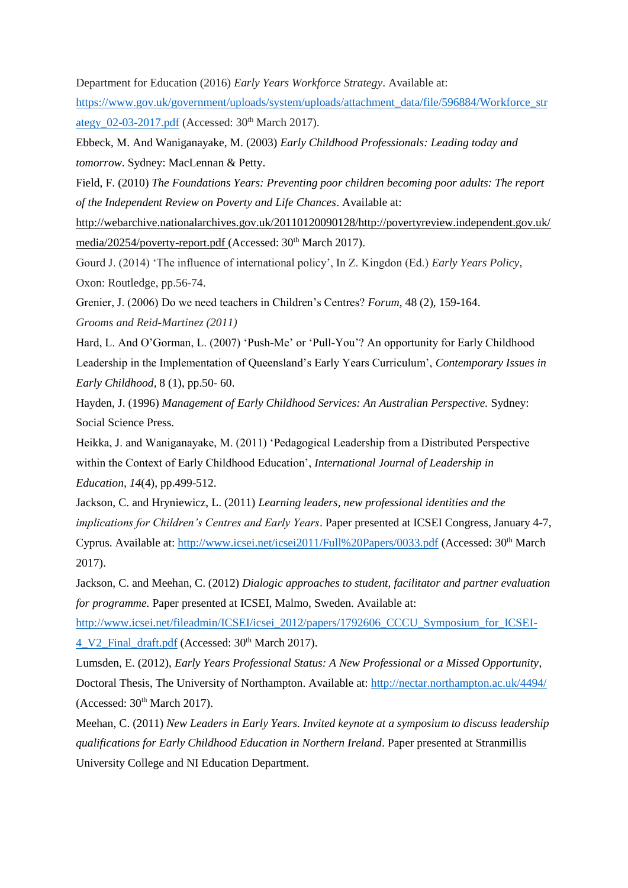Department for Education (2016) *Early Years Workforce Strategy*. Available at:

[https://www.gov.uk/government/uploads/system/uploads/attachment\\_data/file/596884/Workforce\\_str](https://www.gov.uk/government/uploads/system/uploads/attachment_data/file/596884/Workforce_strategy_02-03-2017.pdf) ategy  $02-03-2017$ .pdf (Accessed:  $30<sup>th</sup>$  March 2017).

Ebbeck, M. And Waniganayake, M. (2003) *Early Childhood Professionals: Leading today and tomorrow*. Sydney: MacLennan & Petty.

Field, F. (2010) *The Foundations Years: Preventing poor children becoming poor adults: The report of the Independent Review on Poverty and Life Chances*. Available at:

[http://webarchive.nationalarchives.gov.uk/20110120090128/http://povertyreview.independent.gov.uk/](http://webarchive.nationalarchives.gov.uk/20110120090128/http:/povertyreview.independent.gov.uk/media/20254/poverty-report.pdf) [media/20254/poverty-report.pdf](http://webarchive.nationalarchives.gov.uk/20110120090128/http:/povertyreview.independent.gov.uk/media/20254/poverty-report.pdf) (Accessed: 30<sup>th</sup> March 2017).

Gourd J. (2014) 'The influence of international policy', In Z. Kingdon (Ed.) *Early Years Policy*, Oxon: Routledge, pp.56-74.

Grenier, J. (2006) Do we need teachers in Children's Centres? *Forum,* 48 (2), 159-164. *Grooms and Reid-Martinez (2011)*

Hard, L. And O'Gorman, L. (2007) 'Push-Me' or 'Pull-You'? An opportunity for Early Childhood Leadership in the Implementation of Queensland's Early Years Curriculum', *Contemporary Issues in Early Childhood,* 8 (1), pp.50- 60.

Hayden, J. (1996) *Management of Early Childhood Services: An Australian Perspective.* Sydney: Social Science Press.

Heikka, J. and Waniganayake, M. (2011) 'Pedagogical Leadership from a Distributed Perspective within the Context of Early Childhood Education', *International Journal of Leadership in Education, 14*(4), pp.499-512.

Jackson, C. and Hryniewicz, L. (2011) *Learning leaders, new professional identities and the implications for Children's Centres and Early Years*. Paper presented at ICSEI Congress, January 4-7, Cyprus. Available at:<http://www.icsei.net/icsei2011/Full%20Papers/0033.pdf> (Accessed: 30<sup>th</sup> March 2017).

Jackson, C. and Meehan, C. (2012) *Dialogic approaches to student, facilitator and partner evaluation for programme.* Paper presented at ICSEI, Malmo, Sweden. Available at:

[http://www.icsei.net/fileadmin/ICSEI/icsei\\_2012/papers/1792606\\_CCCU\\_Symposium\\_for\\_ICSEI-](http://www.icsei.net/fileadmin/ICSEI/icsei_2012/papers/1792606_CCCU_Symposium_for_ICSEI-4_V2_Final_draft.pdf)4 V2 Final\_draft.pdf (Accessed: 30<sup>th</sup> March 2017).

Lumsden, E. (2012), *Early Years Professional Status: A New Professional or a Missed Opportunity*, Doctoral Thesis, The University of Northampton. Available at:<http://nectar.northampton.ac.uk/4494/> (Accessed:  $30<sup>th</sup> March 2017$ ).

Meehan, C. (2011) *New Leaders in Early Years. Invited keynote at a symposium to discuss leadership qualifications for Early Childhood Education in Northern Ireland*. Paper presented at Stranmillis University College and NI Education Department.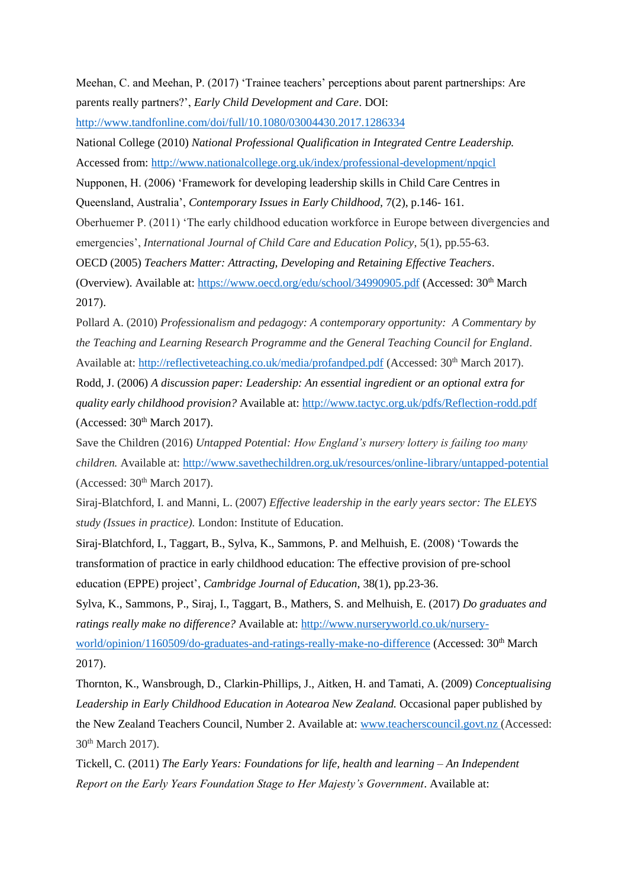Meehan, C. and Meehan, P. (2017) 'Trainee teachers' perceptions about parent partnerships: Are parents really partners?', *Early Child Development and Care*. DOI:

<http://www.tandfonline.com/doi/full/10.1080/03004430.2017.1286334>

National College (2010) *National Professional Qualification in Integrated Centre Leadership.* Accessed from:<http://www.nationalcollege.org.uk/index/professional-development/npqicl> Nupponen, H. (2006) 'Framework for developing leadership skills in Child Care Centres in

Queensland, Australia', *Contemporary Issues in Early Childhood,* 7(2), p.146- 161.

Oberhuemer P. (2011) 'The early childhood education workforce in Europe between divergencies and emergencies', *International Journal of Child Care and Education Policy*, 5(1), pp.55-63.

OECD (2005) *Teachers Matter: Attracting, Developing and Retaining Effective Teachers*.

(Overview). Available at:<https://www.oecd.org/edu/school/34990905.pdf> (Accessed: 30<sup>th</sup> March 2017).

Pollard A. (2010) *Professionalism and pedagogy: A contemporary opportunity: A Commentary by the Teaching and Learning Research Programme and the General Teaching Council for England*. Available at:<http://reflectiveteaching.co.uk/media/profandped.pdf> (Accessed: 30<sup>th</sup> March 2017).

Rodd, J. (2006) *A discussion paper: Leadership: An essential ingredient or an optional extra for quality early childhood provision?* Available at:<http://www.tactyc.org.uk/pdfs/Reflection-rodd.pdf> (Accessed: 30th March 2017).

Save the Children (2016) *Untapped Potential: How England's nursery lottery is failing too many children.* Available at:<http://www.savethechildren.org.uk/resources/online-library/untapped-potential> (Accessed: 30<sup>th</sup> March 2017).

Siraj-Blatchford, I. and Manni, L. (2007) *Effective leadership in the early years sector: The ELEYS study (Issues in practice).* London: Institute of Education.

Siraj‐Blatchford, I., Taggart, B., Sylva, K., Sammons, P. and Melhuish, E. (2008) 'Towards the transformation of practice in early childhood education: The effective provision of pre‐school education (EPPE) project', *Cambridge Journal of Education*, 38(1), pp.23-36.

Sylva, K., Sammons, P., Siraj, I., Taggart, B., Mathers, S. and Melhuish, E. (2017) *Do graduates and ratings really make no difference?* Available at: [http://www.nurseryworld.co.uk/nursery](http://www.nurseryworld.co.uk/nursery-world/opinion/1160509/do-graduates-and-ratings-really-make-no-difference)[world/opinion/1160509/do-graduates-and-ratings-really-make-no-difference](http://www.nurseryworld.co.uk/nursery-world/opinion/1160509/do-graduates-and-ratings-really-make-no-difference) (Accessed: 30<sup>th</sup> March

2017).

Thornton, K., Wansbrough, D., Clarkin-Phillips, J., Aitken, H. and Tamati, A. (2009) *Conceptualising Leadership in Early Childhood Education in Aotearoa New Zealand.* Occasional paper published by the New Zealand Teachers Council, Number 2. Available at: [www.teacherscouncil.govt.nz](http://www.teacherscouncil.govt.nz/) (Accessed: 30th March 2017).

Tickell, C. (2011) *The Early Years: Foundations for life, health and learning – An Independent Report on the Early Years Foundation Stage to Her Majesty's Government*. Available at: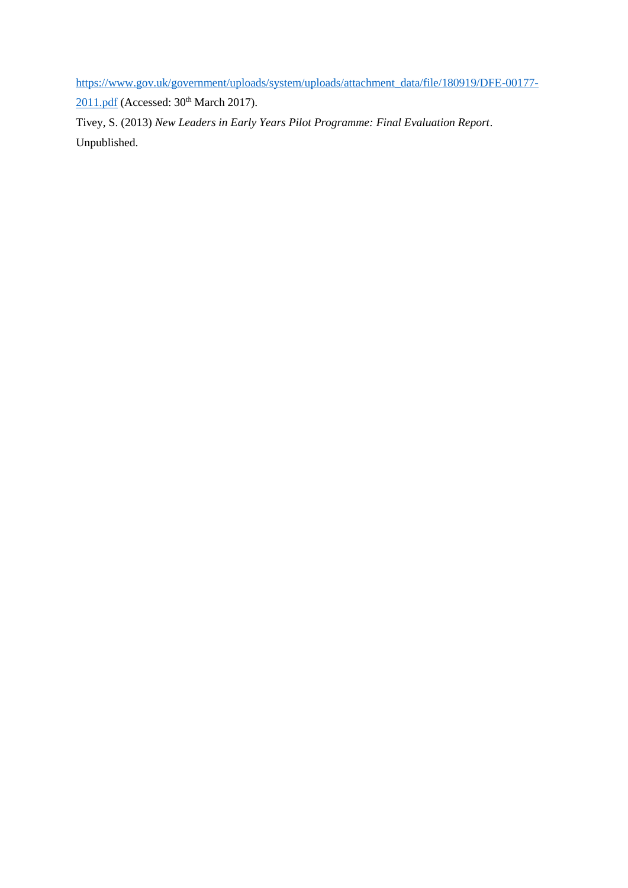[https://www.gov.uk/government/uploads/system/uploads/attachment\\_data/file/180919/DFE-00177-](https://www.gov.uk/government/uploads/system/uploads/attachment_data/file/180919/DFE-00177-2011.pdf)

[2011.pdf](https://www.gov.uk/government/uploads/system/uploads/attachment_data/file/180919/DFE-00177-2011.pdf) (Accessed: 30<sup>th</sup> March 2017).

Tivey, S. (2013) *New Leaders in Early Years Pilot Programme: Final Evaluation Report*. Unpublished.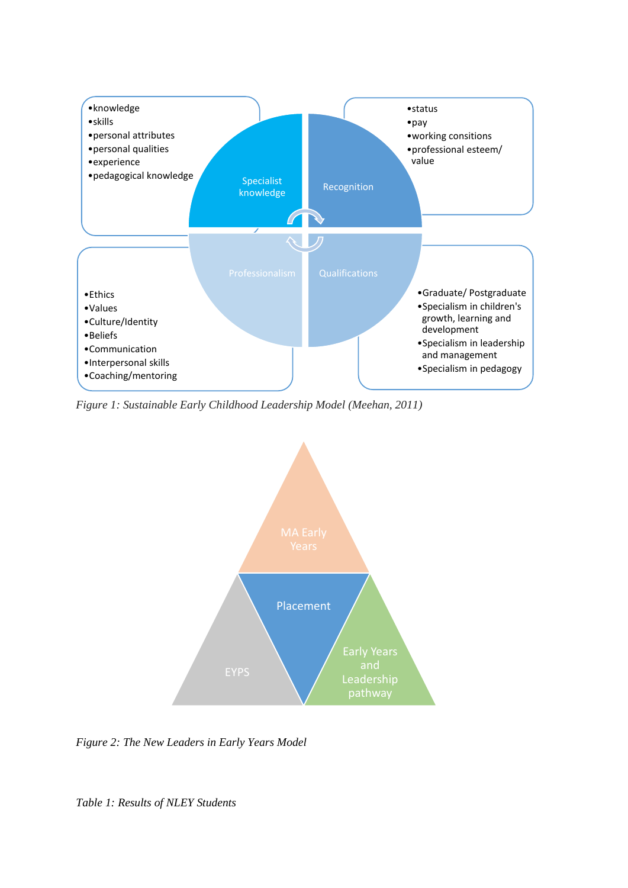

*Figure 1: Sustainable Early Childhood Leadership Model (Meehan, 2011)*



*Figure 2: The New Leaders in Early Years Model*

*Table 1: Results of NLEY Students*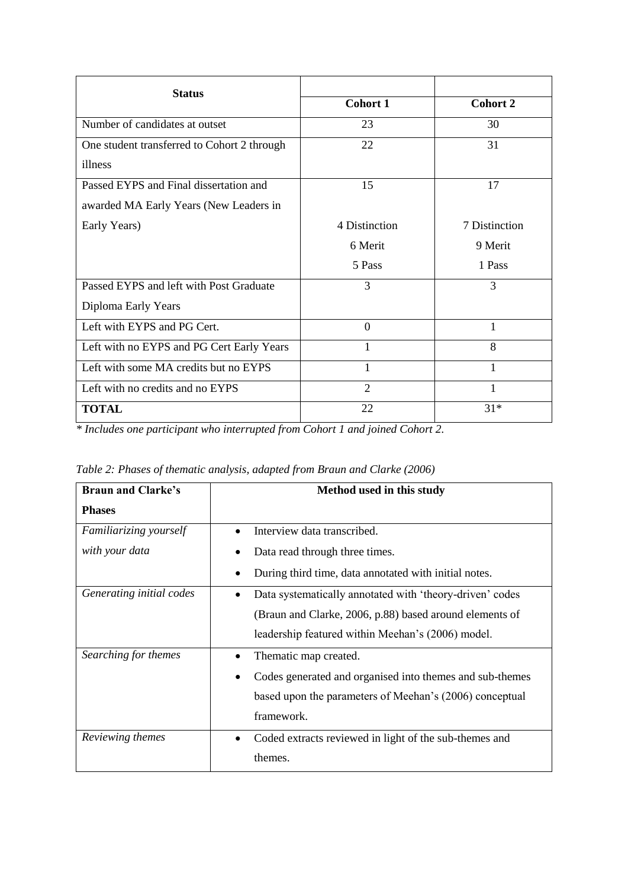| <b>Status</b>                               |                 |                 |
|---------------------------------------------|-----------------|-----------------|
|                                             | <b>Cohort 1</b> | <b>Cohort 2</b> |
| Number of candidates at outset              | 23              | 30              |
| One student transferred to Cohort 2 through | 22              | 31              |
| illness                                     |                 |                 |
| Passed EYPS and Final dissertation and      | 15              | 17              |
| awarded MA Early Years (New Leaders in      |                 |                 |
| Early Years)                                | 4 Distinction   | 7 Distinction   |
|                                             | 6 Merit         | 9 Merit         |
|                                             | 5 Pass          | 1 Pass          |
| Passed EYPS and left with Post Graduate     | 3               | 3               |
| Diploma Early Years                         |                 |                 |
| Left with EYPS and PG Cert.                 | $\overline{0}$  | $\mathbf{1}$    |
| Left with no EYPS and PG Cert Early Years   | 1               | 8               |
| Left with some MA credits but no EYPS       | 1               | $\mathbf{1}$    |
| Left with no credits and no EYPS            | $\overline{c}$  | 1               |
| <b>TOTAL</b>                                | 22              | $31*$           |

*\* Includes one participant who interrupted from Cohort 1 and joined Cohort 2.*

*Table 2: Phases of thematic analysis, adapted from Braun and Clarke (2006)*

| <b>Braun and Clarke's</b>     | Method used in this study                                           |  |
|-------------------------------|---------------------------------------------------------------------|--|
| <b>Phases</b>                 |                                                                     |  |
| <i>Familiarizing yourself</i> | Interview data transcribed.                                         |  |
| with your data                | Data read through three times.                                      |  |
|                               | During third time, data annotated with initial notes.               |  |
| Generating initial codes      | Data systematically annotated with 'theory-driven' codes            |  |
|                               | (Braun and Clarke, 2006, p.88) based around elements of             |  |
|                               | leadership featured within Meehan's (2006) model.                   |  |
| Searching for themes          | Thematic map created.                                               |  |
|                               | Codes generated and organised into themes and sub-themes            |  |
|                               | based upon the parameters of Meehan's (2006) conceptual             |  |
|                               | framework.                                                          |  |
| Reviewing themes              | Coded extracts reviewed in light of the sub-themes and<br>$\bullet$ |  |
|                               | themes.                                                             |  |